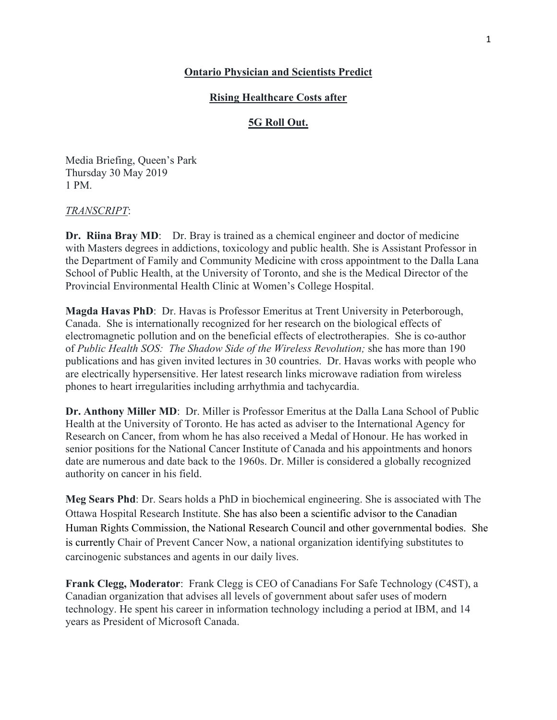## **Ontario Physician and Scientists Predict**

## **Rising Healthcare Costs after**

## **5G Roll Out.**

Media Briefing, Queen's Park Thursday 30 May 2019 1 PM.

### *TRANSCRIPT*:

**Dr. Riina Bray MD:** Dr. Bray is trained as a chemical engineer and doctor of medicine with Masters degrees in addictions, toxicology and public health. She is Assistant Professor in the Department of Family and Community Medicine with cross appointment to the Dalla Lana School of Public Health, at the University of Toronto, and she is the Medical Director of the Provincial Environmental Health Clinic at Women's College Hospital.

**Magda Havas PhD**: Dr. Havas is Professor Emeritus at Trent University in Peterborough, Canada. She is internationally recognized for her research on the biological effects of electromagnetic pollution and on the beneficial effects of electrotherapies. She is co-author of *Public Health SOS: The Shadow Side of the Wireless Revolution;* she has more than 190 publications and has given invited lectures in 30 countries. Dr. Havas works with people who are electrically hypersensitive. Her latest research links microwave radiation from wireless phones to heart irregularities including arrhythmia and tachycardia.

**Dr. Anthony Miller MD**: Dr. Miller is Professor Emeritus at the Dalla Lana School of Public Health at the University of Toronto. He has acted as adviser to the International Agency for Research on Cancer, from whom he has also received a Medal of Honour. He has worked in senior positions for the National Cancer Institute of Canada and his appointments and honors date are numerous and date back to the 1960s. Dr. Miller is considered a globally recognized authority on cancer in his field.

**Meg Sears Phd**: Dr. Sears holds a PhD in biochemical engineering. She is associated with The Ottawa Hospital Research Institute. She has also been a scientific advisor to the Canadian Human Rights Commission, the National Research Council and other governmental bodies. She is currently Chair of Prevent Cancer Now, a national organization identifying substitutes to carcinogenic substances and agents in our daily lives.

**Frank Clegg, Moderator**: Frank Clegg is CEO of Canadians For Safe Technology (C4ST), a Canadian organization that advises all levels of government about safer uses of modern technology. He spent his career in information technology including a period at IBM, and 14 years as President of Microsoft Canada.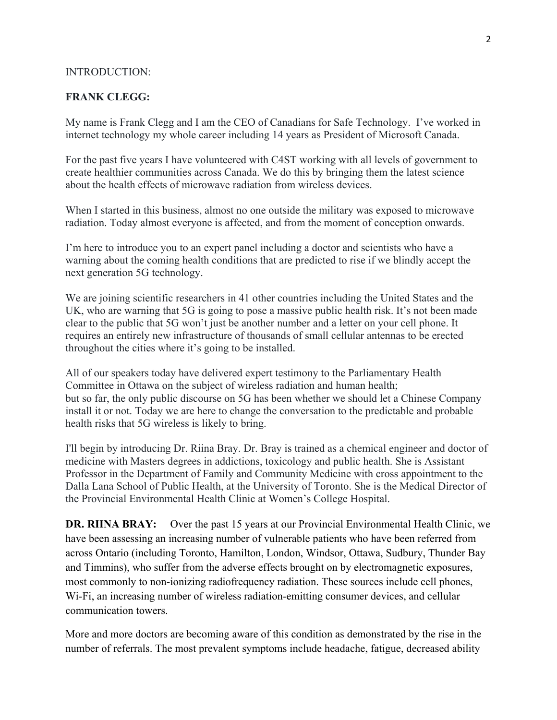#### INTRODUCTION:

### **FRANK CLEGG:**

My name is Frank Clegg and I am the CEO of Canadians for Safe Technology. I've worked in internet technology my whole career including 14 years as President of Microsoft Canada.

For the past five years I have volunteered with C4ST working with all levels of government to create healthier communities across Canada. We do this by bringing them the latest science about the health effects of microwave radiation from wireless devices.

When I started in this business, almost no one outside the military was exposed to microwave radiation. Today almost everyone is affected, and from the moment of conception onwards.

I'm here to introduce you to an expert panel including a doctor and scientists who have a warning about the coming health conditions that are predicted to rise if we blindly accept the next generation 5G technology.

We are joining scientific researchers in 41 other countries including the United States and the UK, who are warning that 5G is going to pose a massive public health risk. It's not been made clear to the public that 5G won't just be another number and a letter on your cell phone. It requires an entirely new infrastructure of thousands of small cellular antennas to be erected throughout the cities where it's going to be installed.

All of our speakers today have delivered expert testimony to the Parliamentary Health Committee in Ottawa on the subject of wireless radiation and human health; but so far, the only public discourse on 5G has been whether we should let a Chinese Company install it or not. Today we are here to change the conversation to the predictable and probable health risks that 5G wireless is likely to bring.

I'll begin by introducing Dr. Riina Bray. Dr. Bray is trained as a chemical engineer and doctor of medicine with Masters degrees in addictions, toxicology and public health. She is Assistant Professor in the Department of Family and Community Medicine with cross appointment to the Dalla Lana School of Public Health, at the University of Toronto. She is the Medical Director of the Provincial Environmental Health Clinic at Women's College Hospital.

**DR. RIINA BRAY:** Over the past 15 years at our Provincial Environmental Health Clinic, we have been assessing an increasing number of vulnerable patients who have been referred from across Ontario (including Toronto, Hamilton, London, Windsor, Ottawa, Sudbury, Thunder Bay and Timmins), who suffer from the adverse effects brought on by electromagnetic exposures, most commonly to non-ionizing radiofrequency radiation. These sources include cell phones, Wi-Fi, an increasing number of wireless radiation-emitting consumer devices, and cellular communication towers.

More and more doctors are becoming aware of this condition as demonstrated by the rise in the number of referrals. The most prevalent symptoms include headache, fatigue, decreased ability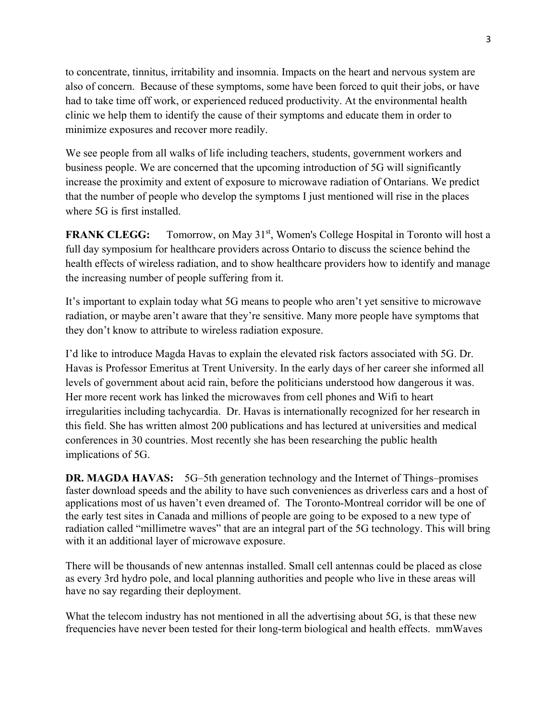to concentrate, tinnitus, irritability and insomnia. Impacts on the heart and nervous system are also of concern. Because of these symptoms, some have been forced to quit their jobs, or have had to take time off work, or experienced reduced productivity. At the environmental health clinic we help them to identify the cause of their symptoms and educate them in order to minimize exposures and recover more readily.

We see people from all walks of life including teachers, students, government workers and business people. We are concerned that the upcoming introduction of 5G will significantly increase the proximity and extent of exposure to microwave radiation of Ontarians. We predict that the number of people who develop the symptoms I just mentioned will rise in the places where 5G is first installed.

**FRANK CLEGG:** Tomorrow, on May 31<sup>st</sup>, Women's College Hospital in Toronto will host a full day symposium for healthcare providers across Ontario to discuss the science behind the health effects of wireless radiation, and to show healthcare providers how to identify and manage the increasing number of people suffering from it.

It's important to explain today what 5G means to people who aren't yet sensitive to microwave radiation, or maybe aren't aware that they're sensitive. Many more people have symptoms that they don't know to attribute to wireless radiation exposure.

I'd like to introduce Magda Havas to explain the elevated risk factors associated with 5G. Dr. Havas is Professor Emeritus at Trent University. In the early days of her career she informed all levels of government about acid rain, before the politicians understood how dangerous it was. Her more recent work has linked the microwaves from cell phones and Wifi to heart irregularities including tachycardia. Dr. Havas is internationally recognized for her research in this field. She has written almost 200 publications and has lectured at universities and medical conferences in 30 countries. Most recently she has been researching the public health implications of 5G.

**DR. MAGDA HAVAS:** 5G–5th generation technology and the Internet of Things–promises faster download speeds and the ability to have such conveniences as driverless cars and a host of applications most of us haven't even dreamed of. The Toronto-Montreal corridor will be one of the early test sites in Canada and millions of people are going to be exposed to a new type of radiation called "millimetre waves" that are an integral part of the 5G technology. This will bring with it an additional layer of microwave exposure.

There will be thousands of new antennas installed. Small cell antennas could be placed as close as every 3rd hydro pole, and local planning authorities and people who live in these areas will have no say regarding their deployment.

What the telecom industry has not mentioned in all the advertising about 5G, is that these new frequencies have never been tested for their long-term biological and health effects. mmWaves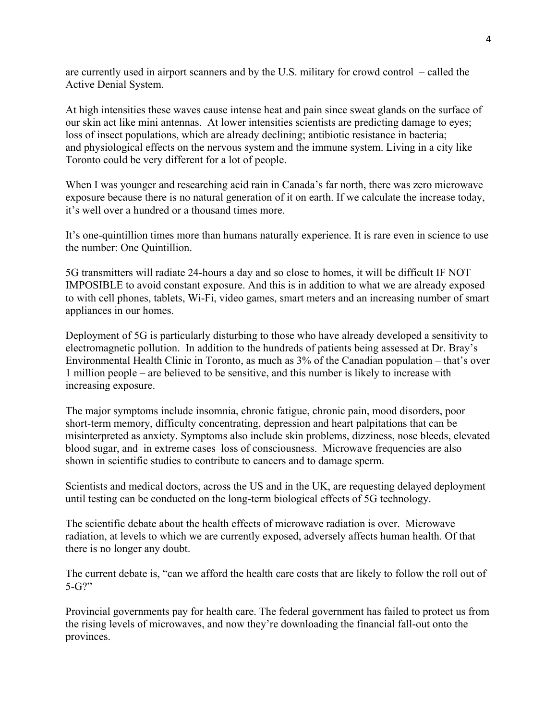are currently used in airport scanners and by the U.S. military for crowd control – called the Active Denial System.

At high intensities these waves cause intense heat and pain since sweat glands on the surface of our skin act like mini antennas. At lower intensities scientists are predicting damage to eyes; loss of insect populations, which are already declining; antibiotic resistance in bacteria; and physiological effects on the nervous system and the immune system. Living in a city like Toronto could be very different for a lot of people.

When I was younger and researching acid rain in Canada's far north, there was zero microwave exposure because there is no natural generation of it on earth. If we calculate the increase today, it's well over a hundred or a thousand times more.

It's one-quintillion times more than humans naturally experience. It is rare even in science to use the number: One Quintillion.

5G transmitters will radiate 24-hours a day and so close to homes, it will be difficult IF NOT IMPOSIBLE to avoid constant exposure. And this is in addition to what we are already exposed to with cell phones, tablets, Wi-Fi, video games, smart meters and an increasing number of smart appliances in our homes.

Deployment of 5G is particularly disturbing to those who have already developed a sensitivity to electromagnetic pollution. In addition to the hundreds of patients being assessed at Dr. Bray's Environmental Health Clinic in Toronto, as much as 3% of the Canadian population – that's over 1 million people – are believed to be sensitive, and this number is likely to increase with increasing exposure.

The major symptoms include insomnia, chronic fatigue, chronic pain, mood disorders, poor short-term memory, difficulty concentrating, depression and heart palpitations that can be misinterpreted as anxiety. Symptoms also include skin problems, dizziness, nose bleeds, elevated blood sugar, and–in extreme cases–loss of consciousness. Microwave frequencies are also shown in scientific studies to contribute to cancers and to damage sperm.

Scientists and medical doctors, across the US and in the UK, are requesting delayed deployment until testing can be conducted on the long-term biological effects of 5G technology.

The scientific debate about the health effects of microwave radiation is over. Microwave radiation, at levels to which we are currently exposed, adversely affects human health. Of that there is no longer any doubt.

The current debate is, "can we afford the health care costs that are likely to follow the roll out of 5-G?"

Provincial governments pay for health care. The federal government has failed to protect us from the rising levels of microwaves, and now they're downloading the financial fall-out onto the provinces.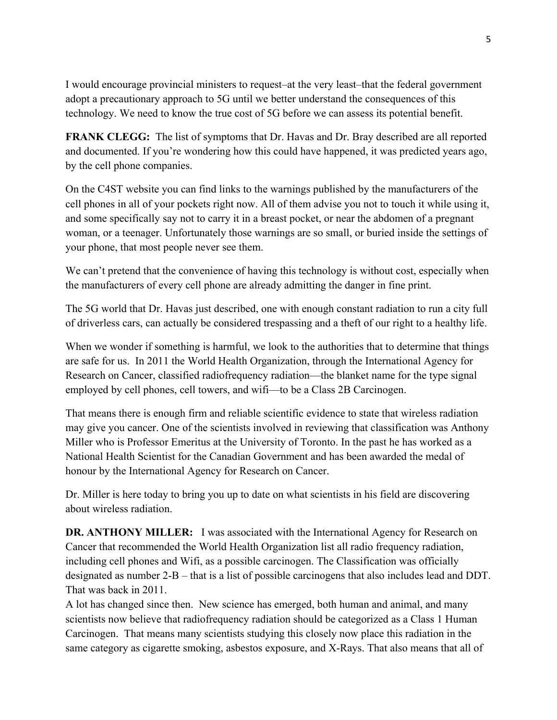I would encourage provincial ministers to request–at the very least–that the federal government adopt a precautionary approach to 5G until we better understand the consequences of this technology. We need to know the true cost of 5G before we can assess its potential benefit.

**FRANK CLEGG:** The list of symptoms that Dr. Havas and Dr. Bray described are all reported and documented. If you're wondering how this could have happened, it was predicted years ago, by the cell phone companies.

On the C4ST website you can find links to the warnings published by the manufacturers of the cell phones in all of your pockets right now. All of them advise you not to touch it while using it, and some specifically say not to carry it in a breast pocket, or near the abdomen of a pregnant woman, or a teenager. Unfortunately those warnings are so small, or buried inside the settings of your phone, that most people never see them.

We can't pretend that the convenience of having this technology is without cost, especially when the manufacturers of every cell phone are already admitting the danger in fine print.

The 5G world that Dr. Havas just described, one with enough constant radiation to run a city full of driverless cars, can actually be considered trespassing and a theft of our right to a healthy life.

When we wonder if something is harmful, we look to the authorities that to determine that things are safe for us. In 2011 the World Health Organization, through the International Agency for Research on Cancer, classified radiofrequency radiation—the blanket name for the type signal employed by cell phones, cell towers, and wifi—to be a Class 2B Carcinogen.

That means there is enough firm and reliable scientific evidence to state that wireless radiation may give you cancer. One of the scientists involved in reviewing that classification was Anthony Miller who is Professor Emeritus at the University of Toronto. In the past he has worked as a National Health Scientist for the Canadian Government and has been awarded the medal of honour by the International Agency for Research on Cancer.

Dr. Miller is here today to bring you up to date on what scientists in his field are discovering about wireless radiation.

**DR. ANTHONY MILLER:** I was associated with the International Agency for Research on Cancer that recommended the World Health Organization list all radio frequency radiation, including cell phones and Wifi, as a possible carcinogen. The Classification was officially designated as number 2-B – that is a list of possible carcinogens that also includes lead and DDT. That was back in 2011.

A lot has changed since then. New science has emerged, both human and animal, and many scientists now believe that radiofrequency radiation should be categorized as a Class 1 Human Carcinogen. That means many scientists studying this closely now place this radiation in the same category as cigarette smoking, asbestos exposure, and X-Rays. That also means that all of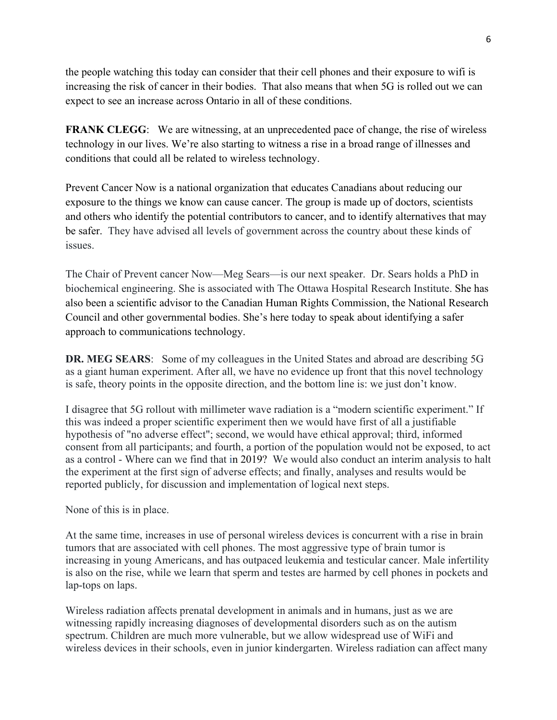the people watching this today can consider that their cell phones and their exposure to wifi is increasing the risk of cancer in their bodies. That also means that when 5G is rolled out we can expect to see an increase across Ontario in all of these conditions.

**FRANK CLEGG:** We are witnessing, at an unprecedented pace of change, the rise of wireless technology in our lives. We're also starting to witness a rise in a broad range of illnesses and conditions that could all be related to wireless technology.

Prevent Cancer Now is a national organization that educates Canadians about reducing our exposure to the things we know can cause cancer. The group is made up of doctors, scientists and others who identify the potential contributors to cancer, and to identify alternatives that may be safer. They have advised all levels of government across the country about these kinds of issues.

The Chair of Prevent cancer Now—Meg Sears—is our next speaker. Dr. Sears holds a PhD in biochemical engineering. She is associated with The Ottawa Hospital Research Institute. She has also been a scientific advisor to the Canadian Human Rights Commission, the National Research Council and other governmental bodies. She's here today to speak about identifying a safer approach to communications technology.

**DR. MEG SEARS**: Some of my colleagues in the United States and abroad are describing 5G as a giant human experiment. After all, we have no evidence up front that this novel technology is safe, theory points in the opposite direction, and the bottom line is: we just don't know.

I disagree that 5G rollout with millimeter wave radiation is a "modern scientific experiment." If this was indeed a proper scientific experiment then we would have first of all a justifiable hypothesis of "no adverse effect"; second, we would have ethical approval; third, informed consent from all participants; and fourth, a portion of the population would not be exposed, to act as a control - Where can we find that in 2019? We would also conduct an interim analysis to halt the experiment at the first sign of adverse effects; and finally, analyses and results would be reported publicly, for discussion and implementation of logical next steps.

None of this is in place.

At the same time, increases in use of personal wireless devices is concurrent with a rise in brain tumors that are associated with cell phones. The most aggressive type of brain tumor is increasing in young Americans, and has outpaced leukemia and testicular cancer. Male infertility is also on the rise, while we learn that sperm and testes are harmed by cell phones in pockets and lap-tops on laps.

Wireless radiation affects prenatal development in animals and in humans, just as we are witnessing rapidly increasing diagnoses of developmental disorders such as on the autism spectrum. Children are much more vulnerable, but we allow widespread use of WiFi and wireless devices in their schools, even in junior kindergarten. Wireless radiation can affect many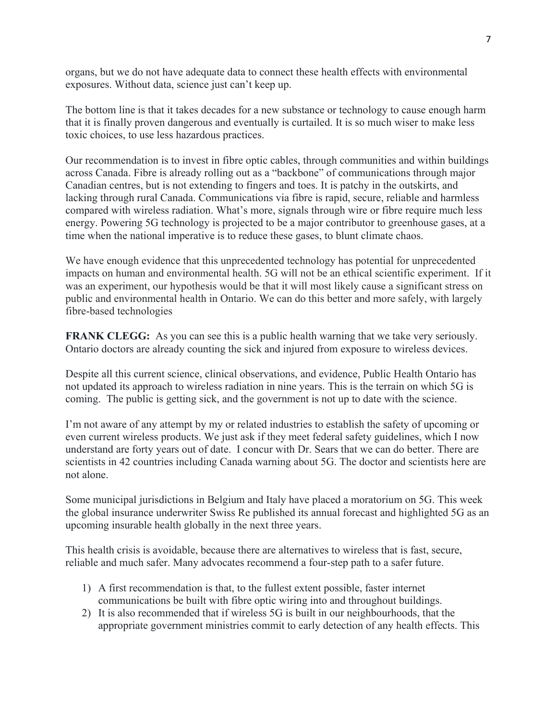organs, but we do not have adequate data to connect these health effects with environmental exposures. Without data, science just can't keep up.

The bottom line is that it takes decades for a new substance or technology to cause enough harm that it is finally proven dangerous and eventually is curtailed. It is so much wiser to make less toxic choices, to use less hazardous practices.

Our recommendation is to invest in fibre optic cables, through communities and within buildings across Canada. Fibre is already rolling out as a "backbone" of communications through major Canadian centres, but is not extending to fingers and toes. It is patchy in the outskirts, and lacking through rural Canada. Communications via fibre is rapid, secure, reliable and harmless compared with wireless radiation. What's more, signals through wire or fibre require much less energy. Powering 5G technology is projected to be a major contributor to greenhouse gases, at a time when the national imperative is to reduce these gases, to blunt climate chaos.

We have enough evidence that this unprecedented technology has potential for unprecedented impacts on human and environmental health. 5G will not be an ethical scientific experiment. If it was an experiment, our hypothesis would be that it will most likely cause a significant stress on public and environmental health in Ontario. We can do this better and more safely, with largely fibre-based technologies

**FRANK CLEGG:** As you can see this is a public health warning that we take very seriously. Ontario doctors are already counting the sick and injured from exposure to wireless devices.

Despite all this current science, clinical observations, and evidence, Public Health Ontario has not updated its approach to wireless radiation in nine years. This is the terrain on which 5G is coming. The public is getting sick, and the government is not up to date with the science.

I'm not aware of any attempt by my or related industries to establish the safety of upcoming or even current wireless products. We just ask if they meet federal safety guidelines, which I now understand are forty years out of date. I concur with Dr. Sears that we can do better. There are scientists in 42 countries including Canada warning about 5G. The doctor and scientists here are not alone.

Some municipal jurisdictions in Belgium and Italy have placed a moratorium on 5G. This week the global insurance underwriter Swiss Re published its annual forecast and highlighted 5G as an upcoming insurable health globally in the next three years.

This health crisis is avoidable, because there are alternatives to wireless that is fast, secure, reliable and much safer. Many advocates recommend a four-step path to a safer future.

- 1) A first recommendation is that, to the fullest extent possible, faster internet communications be built with fibre optic wiring into and throughout buildings.
- 2) It is also recommended that if wireless 5G is built in our neighbourhoods, that the appropriate government ministries commit to early detection of any health effects. This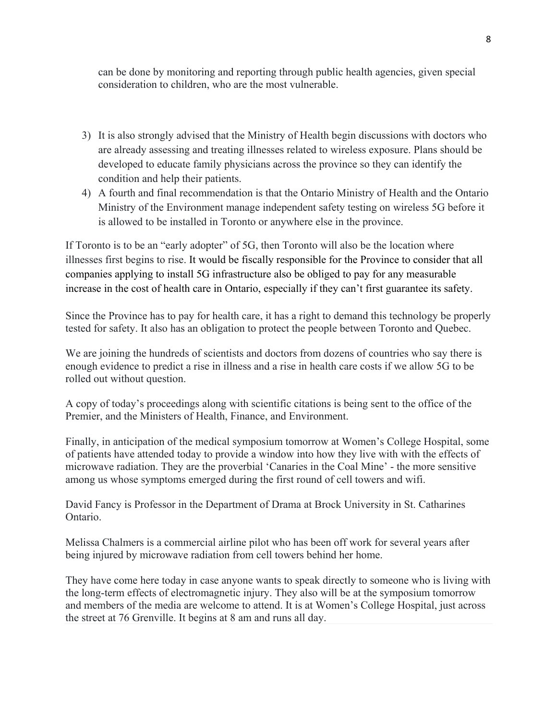can be done by monitoring and reporting through public health agencies, given special consideration to children, who are the most vulnerable.

- 3) It is also strongly advised that the Ministry of Health begin discussions with doctors who are already assessing and treating illnesses related to wireless exposure. Plans should be developed to educate family physicians across the province so they can identify the condition and help their patients.
- 4) A fourth and final recommendation is that the Ontario Ministry of Health and the Ontario Ministry of the Environment manage independent safety testing on wireless 5G before it is allowed to be installed in Toronto or anywhere else in the province.

If Toronto is to be an "early adopter" of 5G, then Toronto will also be the location where illnesses first begins to rise. It would be fiscally responsible for the Province to consider that all companies applying to install 5G infrastructure also be obliged to pay for any measurable increase in the cost of health care in Ontario, especially if they can't first guarantee its safety.

Since the Province has to pay for health care, it has a right to demand this technology be properly tested for safety. It also has an obligation to protect the people between Toronto and Quebec.

We are joining the hundreds of scientists and doctors from dozens of countries who say there is enough evidence to predict a rise in illness and a rise in health care costs if we allow 5G to be rolled out without question.

A copy of today's proceedings along with scientific citations is being sent to the office of the Premier, and the Ministers of Health, Finance, and Environment.

Finally, in anticipation of the medical symposium tomorrow at Women's College Hospital, some of patients have attended today to provide a window into how they live with with the effects of microwave radiation. They are the proverbial 'Canaries in the Coal Mine' - the more sensitive among us whose symptoms emerged during the first round of cell towers and wifi.

David Fancy is Professor in the Department of Drama at Brock University in St. Catharines Ontario.

Melissa Chalmers is a commercial airline pilot who has been off work for several years after being injured by microwave radiation from cell towers behind her home.

They have come here today in case anyone wants to speak directly to someone who is living with the long-term effects of electromagnetic injury. They also will be at the symposium tomorrow and members of the media are welcome to attend. It is at Women's College Hospital, just across the street at 76 Grenville. It begins at 8 am and runs all day.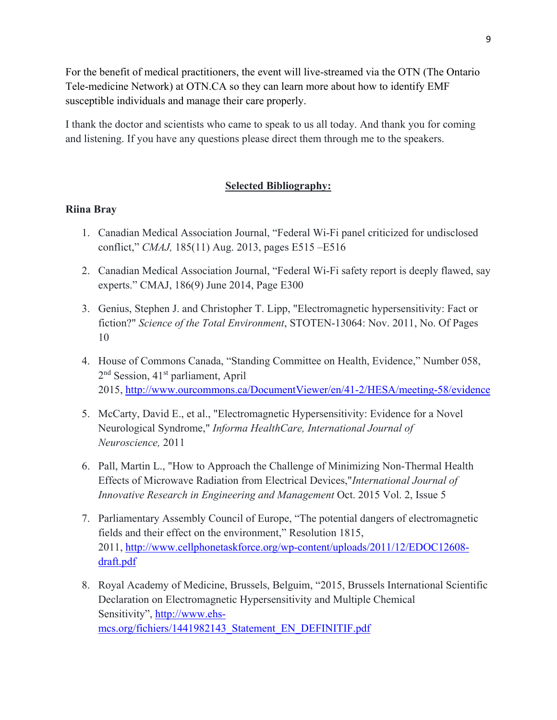For the benefit of medical practitioners, the event will live-streamed via the OTN (The Ontario Tele-medicine Network) at OTN.CA so they can learn more about how to identify EMF susceptible individuals and manage their care properly.

I thank the doctor and scientists who came to speak to us all today. And thank you for coming and listening. If you have any questions please direct them through me to the speakers.

## **Selected Bibliography:**

### **Riina Bray**

- 1. Canadian Medical Association Journal, "Federal Wi-Fi panel criticized for undisclosed conflict," *CMAJ,* 185(11) Aug. 2013, pages E515 –E516
- 2. Canadian Medical Association Journal, "Federal Wi-Fi safety report is deeply flawed, say experts." CMAJ, 186(9) June 2014, Page E300
- 3. Genius, Stephen J. and Christopher T. Lipp, "Electromagnetic hypersensitivity: Fact or fiction?" *Science of the Total Environment*, STOTEN-13064: Nov. 2011, No. Of Pages 10
- 4. House of Commons Canada, "Standing Committee on Health, Evidence," Number 058, 2<sup>nd</sup> Session, 41<sup>st</sup> parliament, April 2015, http://www.ourcommons.ca/DocumentViewer/en/41-2/HESA/meeting-58/evidence
- 5. McCarty, David E., et al., "Electromagnetic Hypersensitivity: Evidence for a Novel Neurological Syndrome," *Informa HealthCare, International Journal of Neuroscience,* 2011
- 6. Pall, Martin L., "How to Approach the Challenge of Minimizing Non-Thermal Health Effects of Microwave Radiation from Electrical Devices,"*International Journal of Innovative Research in Engineering and Management* Oct. 2015 Vol. 2, Issue 5
- 7. Parliamentary Assembly Council of Europe, "The potential dangers of electromagnetic fields and their effect on the environment," Resolution 1815, 2011, http://www.cellphonetaskforce.org/wp-content/uploads/2011/12/EDOC12608 draft.pdf
- 8. Royal Academy of Medicine, Brussels, Belguim, "2015, Brussels International Scientific Declaration on Electromagnetic Hypersensitivity and Multiple Chemical Sensitivity", http://www.ehsmcs.org/fichiers/1441982143\_Statement\_EN\_DEFINITIF.pdf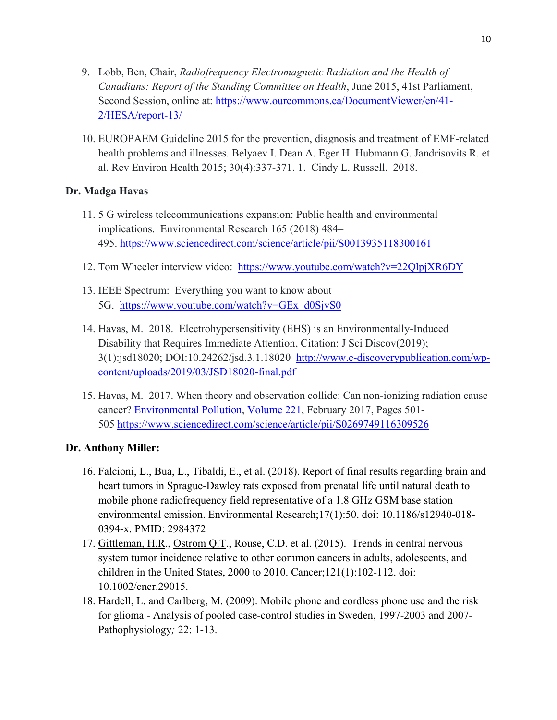- 9. Lobb, Ben, Chair, *Radiofrequency Electromagnetic Radiation and the Health of Canadians: Report of the Standing Committee on Health*, June 2015, 41st Parliament, Second Session, online at: https://www.ourcommons.ca/DocumentViewer/en/41- 2/HESA/report-13/
- 10. EUROPAEM Guideline 2015 for the prevention, diagnosis and treatment of EMF-related health problems and illnesses. Belyaev I. Dean A. Eger H. Hubmann G. Jandrisovits R. et al. Rev Environ Health 2015; 30(4):337-371. 1. Cindy L. Russell. 2018.

## **Dr. Madga Havas**

- 11. 5 G wireless telecommunications expansion: Public health and environmental implications. Environmental Research 165 (2018) 484– 495. https://www.sciencedirect.com/science/article/pii/S0013935118300161
- 12. Tom Wheeler interview video: https://www.youtube.com/watch?v=22QlpjXR6DY
- 13. IEEE Spectrum: Everything you want to know about 5G. https://www.youtube.com/watch?v=GEx\_d0SjvS0
- 14. Havas, M. 2018. Electrohypersensitivity (EHS) is an Environmentally-Induced Disability that Requires Immediate Attention, Citation: J Sci Discov(2019); 3(1):jsd18020; DOI:10.24262/jsd.3.1.18020 http://www.e-discoverypublication.com/wpcontent/uploads/2019/03/JSD18020-final.pdf
- 15. Havas, M. 2017. When theory and observation collide: Can non-ionizing radiation cause cancer? Environmental Pollution, Volume 221, February 2017, Pages 501- 505 https://www.sciencedirect.com/science/article/pii/S0269749116309526

# **Dr. Anthony Miller:**

- 16. Falcioni, L., Bua, L., Tibaldi, E., et al. (2018). Report of final results regarding brain and heart tumors in Sprague-Dawley rats exposed from prenatal life until natural death to mobile phone radiofrequency field representative of a 1.8 GHz GSM base station environmental emission. Environmental Research;17(1):50. doi: 10.1186/s12940-018- 0394-x. PMID: 2984372
- 17. Gittleman, H.R., Ostrom Q.T., Rouse, C.D. et al. (2015). Trends in central nervous system tumor incidence relative to other common cancers in adults, adolescents, and children in the United States, 2000 to 2010. Cancer;121(1):102-112. doi: 10.1002/cncr.29015.
- 18. Hardell, L. and Carlberg, M. (2009). Mobile phone and cordless phone use and the risk for glioma - Analysis of pooled case-control studies in Sweden, 1997-2003 and 2007- Pathophysiology*;* 22: 1-13.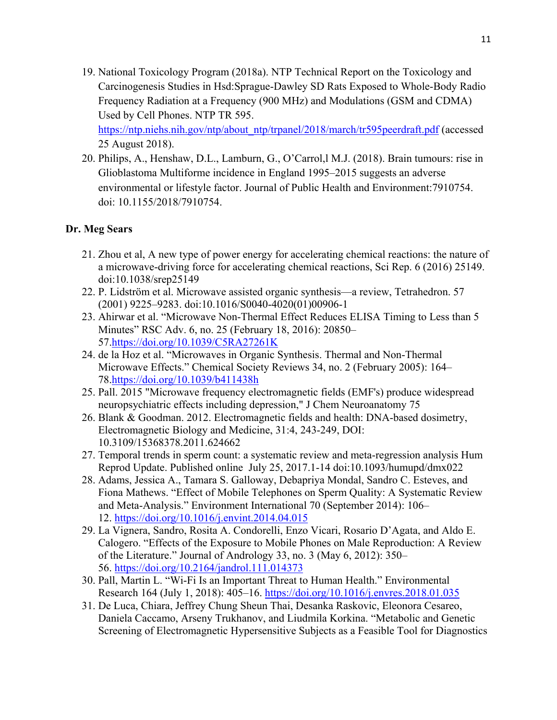19. National Toxicology Program (2018a). NTP Technical Report on the Toxicology and Carcinogenesis Studies in Hsd:Sprague-Dawley SD Rats Exposed to Whole-Body Radio Frequency Radiation at a Frequency (900 MHz) and Modulations (GSM and CDMA) Used by Cell Phones. NTP TR 595.

https://ntp.niehs.nih.gov/ntp/about\_ntp/trpanel/2018/march/tr595peerdraft.pdf (accessed 25 August 2018).

20. Philips, A., Henshaw, D.L., Lamburn, G., O'Carrol,l M.J. (2018). Brain tumours: rise in Glioblastoma Multiforme incidence in England 1995–2015 suggests an adverse environmental or lifestyle factor. Journal of Public Health and Environment:7910754. doi: 10.1155/2018/7910754.

# **Dr. Meg Sears**

- 21. Zhou et al, A new type of power energy for accelerating chemical reactions: the nature of a microwave-driving force for accelerating chemical reactions, Sci Rep. 6 (2016) 25149. doi:10.1038/srep25149
- 22. P. Lidström et al. Microwave assisted organic synthesis—a review, Tetrahedron. 57 (2001) 9225–9283. doi:10.1016/S0040-4020(01)00906-1
- 23. Ahirwar et al. "Microwave Non-Thermal Effect Reduces ELISA Timing to Less than 5 Minutes" RSC Adv. 6, no. 25 (February 18, 2016): 20850– 57.https://doi.org/10.1039/C5RA27261K
- 24. de la Hoz et al. "Microwaves in Organic Synthesis. Thermal and Non-Thermal Microwave Effects." Chemical Society Reviews 34, no. 2 (February 2005): 164– 78.https://doi.org/10.1039/b411438h
- 25. Pall. 2015 "Microwave frequency electromagnetic fields (EMF's) produce widespread neuropsychiatric effects including depression," J Chem Neuroanatomy 75
- 26. Blank & Goodman. 2012. Electromagnetic fields and health: DNA-based dosimetry, Electromagnetic Biology and Medicine, 31:4, 243-249, DOI: 10.3109/15368378.2011.624662
- 27. Temporal trends in sperm count: a systematic review and meta-regression analysis Hum Reprod Update. Published online July 25, 2017.1-14 doi:10.1093/humupd/dmx022
- 28. Adams, Jessica A., Tamara S. Galloway, Debapriya Mondal, Sandro C. Esteves, and Fiona Mathews. "Effect of Mobile Telephones on Sperm Quality: A Systematic Review and Meta-Analysis." Environment International 70 (September 2014): 106– 12. https://doi.org/10.1016/j.envint.2014.04.015
- 29. La Vignera, Sandro, Rosita A. Condorelli, Enzo Vicari, Rosario D'Agata, and Aldo E. Calogero. "Effects of the Exposure to Mobile Phones on Male Reproduction: A Review of the Literature." Journal of Andrology 33, no. 3 (May 6, 2012): 350– 56. https://doi.org/10.2164/jandrol.111.014373
- 30. Pall, Martin L. "Wi-Fi Is an Important Threat to Human Health." Environmental Research 164 (July 1, 2018): 405–16. https://doi.org/10.1016/j.envres.2018.01.035
- 31. De Luca, Chiara, Jeffrey Chung Sheun Thai, Desanka Raskovic, Eleonora Cesareo, Daniela Caccamo, Arseny Trukhanov, and Liudmila Korkina. "Metabolic and Genetic Screening of Electromagnetic Hypersensitive Subjects as a Feasible Tool for Diagnostics